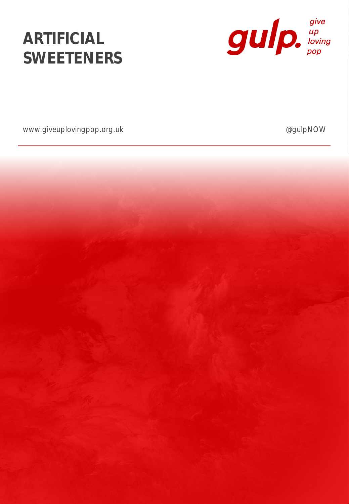# **ARTIFICIAL SWEETENERS**



www.giveuplovingpop.org.uk and a set of the control of the control of the control of the control of the control of the control of the control of the control of the control of the control of the control of the control of th

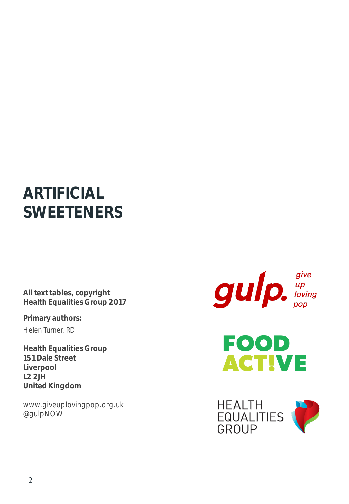### **ARTIFICIAL SWEETENERS**

**All text tables, copyright Health Equalities Group 2017**

**Primary authors:** Helen Turner, RD

**Health Equalities Group 151 Dale Street Liverpool L2 2JH United Kingdom**

www.giveuplovingpop.org.uk @gulpNOW

 $g$ ulp.  $\int_{\text{Poisson}}^{\text{give}}$ 



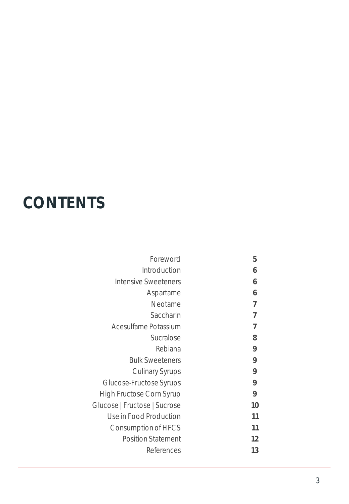# **CONTENTS**

| Foreword                        | 5  |
|---------------------------------|----|
| Introduction                    | 6  |
| <b>Intensive Sweeteners</b>     | 6  |
| Aspartame                       | 6  |
| Neotame                         | 7  |
| Saccharin                       | 7  |
| Acesulfame Potassium            | 7  |
| Sucralose                       | 8  |
| Rebiana                         | 9  |
| <b>Bulk Sweeteners</b>          | 9  |
| <b>Culinary Syrups</b>          | 9  |
| Glucose-Fructose Syrups         | 9  |
| <b>High Fructose Corn Syrup</b> | 9  |
| Glucose   Fructose   Sucrose    | 10 |
| Use in Food Production          | 11 |
| Consumption of HFCS             | 11 |
| <b>Position Statement</b>       | 12 |
| References                      | 13 |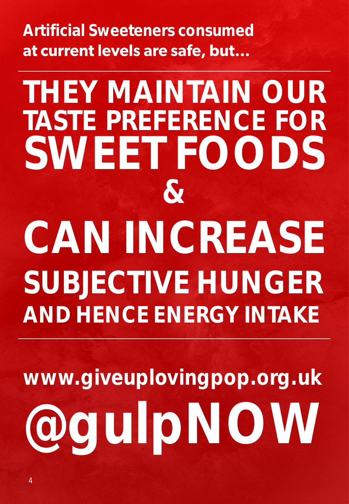**Artificial Sweeteners consumed**  at current levels are safe, but...

# **THEY MAINTAIN OUR TASTE PREFERENCE FOR SWEET FOODS & CAN INCREASE SUBJECTIVE HUNGER AND HENCE ENERGY INTAKE**

**www.giveuplovingpop.org.uk @gulpNOW**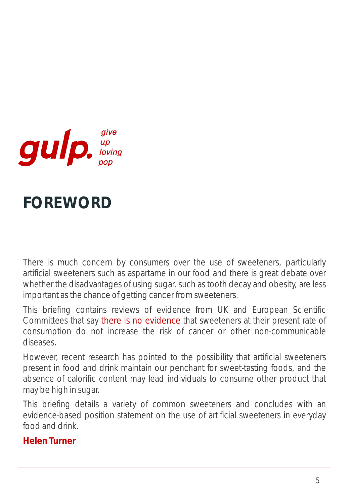

## **FOREWORD**

There is much concern by consumers over the use of sweeteners, particularly artificial sweeteners such as aspartame in our food and there is great debate over whether the disadvantages of using sugar, such as tooth decay and obesity, are less important as the chance of getting cancer from sweeteners.

This briefing contains reviews of evidence from UK and European Scientific Committees that say there is no evidence that sweeteners at their present rate of consumption do not increase the risk of cancer or other non-communicable diseases.

However, recent research has pointed to the possibility that artificial sweeteners present in food and drink maintain our penchant for sweet-tasting foods, and the absence of calorific content may lead individuals to consume other product that may be high in sugar.

This briefing details a variety of common sweeteners and concludes with an evidence-based position statement on the use of artificial sweeteners in everyday food and drink.

#### **Helen Turner**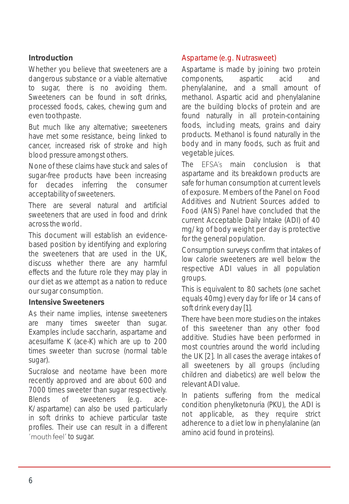#### **Introduction**

Whether you believe that sweeteners are a dangerous substance or a viable alternative to sugar, there is no avoiding them. Sweeteners can be found in soft drinks, processed foods, cakes, chewing gum and even toothpaste.

But much like any alternative; sweeteners have met some resistance, being linked to cancer, increased risk of stroke and high blood pressure amongst others.

None of these claims have stuck and sales of sugar-free products have been increasing for decades inferring the consumer acceptability of sweeteners.

There are several natural and artificial sweeteners that are used in food and drink acrossthe world.

This document will establish an evidencebased position by identifying and exploring the sweeteners that are used in the UK, discuss whether there are any harmful effects and the future role they may play in our diet as we attempt as a nation to reduce our sugar consumption.

#### **Intensive Sweeteners**

As their name implies, intense sweeteners are many times sweeter than sugar. Examples include saccharin, aspartame and acesulfame K (ace-K) which are up to 200 times sweeter than sucrose (normal table sugar).

Sucralose and neotame have been more recently approved and are about 600 and 7000 times sweeter than sugar respectively. Blends of sweeteners (e.g. ace-K/aspartame) can also be used particularly in soft drinks to achieve particular taste profiles. Their use can result in a different 'mouth feel' to sugar.

#### Aspartame (e.g. Nutrasweet)

Aspartame is made by joining two protein components, aspartic acid and phenylalanine, and a small amount of methanol. Aspartic acid and phenylalanine are the building blocks of protein and are found naturally in all protein-containing foods, including meats, grains and dairy products. Methanol is found naturally in the body and in many foods, such as fruit and vegetable juices.

The EFSA's main conclusion is that aspartame and its breakdown products are safe for human consumption at current levels of exposure. Members of the Panel on Food Additives and Nutrient Sources added to Food (ANS) Panel have concluded that the current Acceptable Daily Intake (ADI) of 40 mg/kg of body weight per day is protective for the general population.

Consumption surveys confirm that intakes of low calorie sweeteners are well below the respective ADI values in all population groups.

This is equivalent to 80 sachets (one sachet equals 40mg) every day for life or 14 cans of soft drink every day [1].

There have been more studies on the intakes of this sweetener than any other food additive. Studies have been performed in most countries around the world including the UK [2]. In all cases the average intakes of all sweeteners by all groups (including children and diabetics) are well below the relevant ADI value.

In patients suffering from the medical condition phenylketonuria (PKU), the ADI is not applicable, as they require strict adherence to a diet low in phenylalanine (an amino acid found in proteins).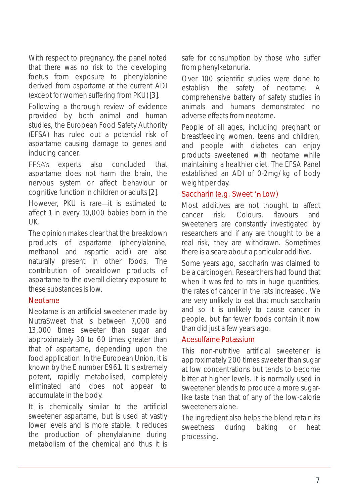With respect to pregnancy, the panel noted that there was no risk to the developing foetus from exposure to phenylalanine derived from aspartame at the current ADI (except for women suffering from PKU) [3].

Following a thorough review of evidence provided by both animal and human studies, the European Food Safety Authority (EFSA) has ruled out a potential risk of aspartame causing damage to genes and inducing cancer.

EFSA's experts also concluded that aspartame does not harm the brain, the nervous system or affect behaviour or cognitive function in children or adults[2].

However, PKU is rare-it is estimated to affect 1 in every 10,000 babies born in the UK.

The opinion makes clear that the breakdown products of aspartame (phenylalanine, methanol and aspartic acid) are also naturally present in other foods. The contribution of breakdown products of aspartame to the overall dietary exposure to these substances is low.

#### Neotame

Neotame is an artificial sweetener made by NutraSweet that is between 7,000 and 13,000 times sweeter than sugar and approximately 30 to 60 times greater than that of aspartame, depending upon the food application. In the European Union, it is known by the E number E961. It is extremely potent, rapidly metabolised, completely eliminated and does not appear to accumulate in the body.

It is chemically similar to the artificial sweetener aspartame, but is used at vastly lower levels and is more stable. It reduces the production of phenylalanine during metabolism of the chemical and thus it is

safe for consumption by those who suffer from phenylketonuria.

Over 100 scientific studies were done to establish the safety of neotame. A comprehensive battery of safety studies in animals and humans demonstrated no adverse effects from neotame.

People of all ages, including pregnant or breastfeeding women, teens and children, and people with diabetes can enjoy products sweetened with neotame while maintaining a healthier diet. The EFSA Panel established an ADI of 0-2mg/kg of body weight per day.

#### Saccharin (e.g. Sweet 'n Low)

Most additives are not thought to affect cancer risk. Colours, flavours and sweeteners are constantly investigated by researchers and if any are thought to be a real risk, they are withdrawn. Sometimes there is a scare about a particular additive.

Some years ago, saccharin was claimed to be a carcinogen. Researchers had found that when it was fed to rats in huge quantities, the rates of cancer in the rats increased. We are very unlikely to eat that much saccharin and so it is unlikely to cause cancer in people, but far fewer foods contain it now than did just a few years ago.

#### Acesulfame Potassium

This non-nutritive artificial sweetener is approximately 200 times sweeter than sugar at low concentrations but tends to become bitter at higher levels. It is normally used in sweetener blends to produce a more sugarlike taste than that of any of the low-calorie sweeteners alone.

The ingredient also helps the blend retain its sweetness during baking or heat processing.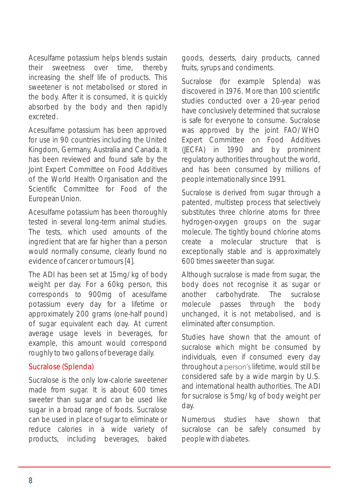Acesulfame potassium helps blends sustain their sweetness over time, thereby increasing the shelf life of products. This sweetener is not metabolised or stored in the body. After it is consumed, it is quickly absorbed by the body and then rapidly excreted.

Acesulfame potassium has been approved for use in 90 countries including the United Kingdom, Germany, Australia and Canada. It has been reviewed and found safe by the Joint Expert Committee on Food Additives of the World Health Organisation and the Scientific Committee for Food of the European Union.

Acesulfame potassium has been thoroughly tested in several long-term animal studies. The tests, which used amounts of the ingredient that are far higher than a person would normally consume, clearly found no evidence of cancer or tumours[4].

The ADI has been set at 15mg/kg of body weight per day. For a 60kg person, this corresponds to 900mg of acesulfame potassium every day for a lifetime or approximately 200 grams (one-half pound) of sugar equivalent each day. At current average usage levels in beverages, for example, this amount would correspond roughly to two gallons of beverage daily.

#### Sucralose (Splenda)

Sucralose is the only low-calorie sweetener made from sugar. It is about 600 times sweeter than sugar and can be used like sugar in a broad range of foods. Sucralose can be used in place of sugar to eliminate or reduce calories in a wide variety of products, including beverages, baked goods, desserts, dairy products, canned fruits, syrups and condiments.

Sucralose (for example Splenda) was discovered in 1976. More than 100 scientific studies conducted over a 20-year period have conclusively determined that sucralose is safe for everyone to consume. Sucralose was approved by the joint FAO/WHO Expert Committee on Food Additives (JECFA) in 1990 and by prominent regulatory authorities throughout the world, and has been consumed by millions of people internationally since 1991.

Sucralose is derived from sugar through a patented, multistep process that selectively substitutes three chlorine atoms for three hydrogen-oxygen groups on the sugar molecule. The tightly bound chlorine atoms create a molecular structure that is exceptionally stable and is approximately 600 times sweeter than sugar.

Although sucralose is made from sugar, the body does not recognise it as sugar or another carbohydrate. The sucralose molecule passes through the body unchanged, it is not metabolised, and is eliminated after consumption.

Studies have shown that the amount of sucralose which might be consumed by individuals, even if consumed every day throughout a person's lifetime, would still be considered safe by a wide margin by U.S. and international health authorities. The ADI for sucralose is 5mg/kg of body weight per day.

Numerous studies have shown that sucralose can be safely consumed by people with diabetes.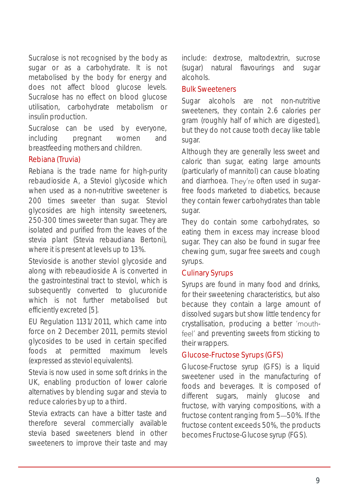Sucralose is not recognised by the body as sugar or as a carbohydrate. It is not metabolised by the body for energy and does not affect blood glucose levels. Sucralose has no effect on blood glucose utilisation, carbohydrate metabolism or insulin production.

Sucralose can be used by everyone, including pregnant women and breastfeeding mothers and children.

#### Rebiana (Truvia)

Rebiana is the trade name for high-purity rebaudioside A, a Steviol glycoside which when used as a non-nutritive sweetener is 200 times sweeter than sugar. Steviol glycosides are high intensity sweeteners, 250-300 times sweeter than sugar. They are isolated and purified from the leaves of the stevia plant (Stevia rebaudiana Bertoni), where it is present at levels up to 13%.

Stevioside is another steviol glycoside and along with rebeaudioside A is converted in the gastrointestinal tract to steviol, which is subsequently converted to glucuronide which is not further metabolised but efficiently excreted [5].

EU Regulation 1131/2011, which came into force on 2 December 2011, permits steviol glycosides to be used in certain specified foods at permitted maximum levels (expressed as steviol equivalents).

Stevia is now used in some soft drinks in the UK, enabling production of lower calorie alternatives by blending sugar and stevia to reduce calories by up to a third.

Stevia extracts can have a bitter taste and therefore several commercially available stevia based sweeteners blend in other sweeteners to improve their taste and may include: dextrose, maltodextrin, sucrose (sugar) natural flavourings and sugar alcohols.

#### Bulk Sweeteners

Sugar alcohols are not non-nutritive sweeteners, they contain 2.6 calories per gram (roughly half of which are digested), but they do not cause tooth decay like table sugar.

Although they are generally less sweet and caloric than sugar, eating large amounts (particularly of mannitol) can cause bloating and diarrhoea. They're often used in sugarfree foods marketed to diabetics, because they contain fewer carbohydrates than table sugar.

They do contain some carbohydrates, so eating them in excess may increase blood sugar. They can also be found in sugar free chewing gum, sugar free sweets and cough syrups.

#### Culinary Syrups

Syrups are found in many food and drinks, for their sweetening characteristics, but also because they contain a large amount of dissolved sugars but show little tendency for crystallisation, producing a better 'mouthfeel' and preventing sweets from sticking to their wrappers.

#### Glucose-Fructose Syrups (GFS)

Glucose-Fructose syrup (GFS) is a liquid sweetener used in the manufacturing of foods and beverages. It is composed of different sugars, mainly glucose and fructose, with varying compositions, with a fructose content ranging from 5-50%. If the fructose content exceeds 50%, the products becomes Fructose-Glucose syrup (FGS).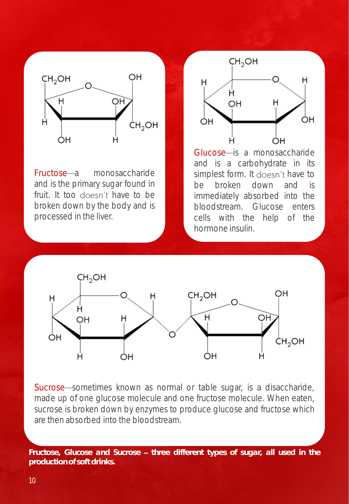

Fructose—a monosaccharide and is the primary sugar found in fruit. It too doesn't have to be broken down by the body and is processed in the liver.



Glucose-is a monosaccharide and is a carbohydrate in its simplest form. It doesn't have to be broken down and is immediately absorbed into the bloodstream. Glucose enters cells with the help of the hormone insulin.



Sucrose sometimes known as normal or table sugar, is a disaccharide, made up of one glucose molecule and one fructose molecule. When eaten, sucrose is broken down by enzymes to produce glucose and fructose which are then absorbed into the bloodstream.

*Fructose, Glucose and Sucrose three different types of sugar, all used in the production of soft drinks.*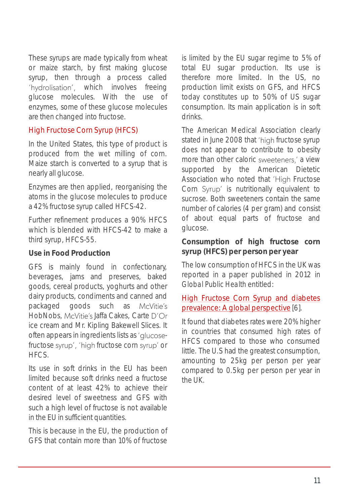These syrups are made typically from wheat or maize starch, by first making glucose syrup, then through a process called 'hydrolisation', which involves freeing glucose molecules. With the use of enzymes, some of these glucose molecules are then changed into fructose.

#### High Fructose Corn Syrup (HFCS)

In the United States, this type of product is produced from the wet milling of corn. Maize starch is converted to a syrup that is nearly all glucose.

Enzymes are then applied, reorganising the atoms in the glucose molecules to produce a 42% fructose syrup called HFCS-42.

Further refinement produces a 90% HFCS which is blended with HFCS-42 to make a third syrup, HFCS-55.

#### **Use in Food Production**

GFS is mainly found in confectionary, beverages, jams and preserves, baked goods, cereal products, yoghurts and other dairy products, condiments and canned and packaged goods such as McVitie's HobNobs, McVitie's Jaffa Cakes, Carte D'Or ice cream and Mr. Kipling Bakewell Slices. It often appears in ingredients lists as 'glucosefructose syrup', 'high fructose corn syrup' or HFCS.

Its use in soft drinks in the EU has been limited because soft drinks need a fructose content of at least 42% to achieve their desired level of sweetness and GFS with such a high level of fructose is not available in the EU in sufficient quantities.

This is because in the EU, the production of GFS that contain more than 10% of fructose

is limited by the EU sugar regime to 5% of total EU sugar production. Its use is therefore more limited. In the US, no production limit exists on GFS, and HFCS today constitutes up to 50% of US sugar consumption. Its main application is in soft drinks.

The American Medical Association clearly stated in June 2008 that 'high fructose syrup does not appear to contribute to obesity more than other caloric sweeteners,' a view supported by the American Dietetic Association who noted that 'High Fructose Corn Syrup' is nutritionally equivalent to sucrose. Both sweeteners contain the same number of calories (4 per gram) and consist of about equal parts of fructose and glucose.

**Consumption of high fructose corn syrup (HFCS) per person per year**

The low consumption of HFCS in the UK was reported in a paper published in 2012 in *Global Public Health* entitled:

#### High Fructose Corn Syrup and diabetes [prevalence:](http://www.cinnamonvogue.com/DOWNLOADS/High Fructose Corn Syrup and Diabetes.pdf) A global perspective [6].

It found that diabetes rates were 20% higher in countries that consumed high rates of HFCS compared to those who consumed little. The U.S had the greatest consumption, amounting to 25kg per person per year compared to 0.5kg per person per year in  $th$  $\alpha$  |  $\alpha$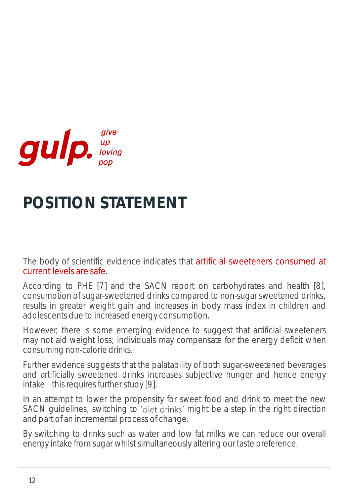

## **POSITION STATEMENT**

The body of scientific evidence indicates that artificial sweeteners consumed at current levels are safe.

According to PHE [7] and the SACN report on carbohydrates and health [8], consumption of sugar-sweetened drinks compared to non-sugar sweetened drinks, results in greater weight gain and increases in body mass index in children and adolescents due to increased energy consumption.

However, there is some emerging evidence to suggest that artificial sweeteners may not aid weight loss; individuals may compensate for the energy deficit when consuming non-calorie drinks.

Further evidence suggests that the palatability of both sugar-sweetened beverages and artificially sweetened drinks increases subjective hunger and hence energy  $intake$ —this requires further study [9].

In an attempt to lower the propensity for sweet food and drink to meet the new SACN guidelines, switching to 'diet drinks' might be a step in the right direction and part of an incremental process of change.

By switching to drinks such as water and low fat milks we can reduce our overall energy intake from sugar whilst simultaneously altering our taste preference.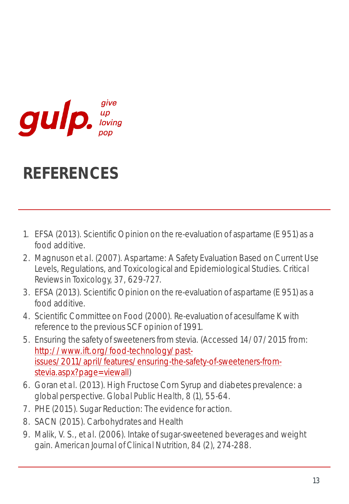

## **REFERENCES**

- 1. EFSA (2013). Scientific Opinion on the re-evaluation of aspartame (E 951) as a food additive.
- 2. Magnuson *et al*. (2007). Aspartame: A Safety Evaluation Based on Current Use Levels, Regulations, and Toxicological and Epidemiological Studies. *Critical Reviews in Toxicology, 37*, 629-727.
- 3. EFSA (2013). Scientific Opinion on the re-evaluation of aspartame (E 951) as a food additive.
- 4. Scientific Committee on Food (2000). Re-evaluation of acesulfame K with reference to the previous SCF opinion of 1991.
- 5. Ensuring the safety of sweeteners from stevia. (Accessed 14/07/2015 from: http://www.ift.org/food-technology/past[issues/2011/april/features/ensuring-the-safety-of-sweeteners-from](http://www.ift.org/food-technology/past-issues/2011/april/features/ensuring-the-safety-of-sweeteners-from-stevia.aspx?page=viewall)stevia.aspx?page=viewall)
- 6. Goran *et al*. (2013). High Fructose Corn Syrup and diabetes prevalence: a global perspective. *Global Public Health, 8* (1), 55-64.
- 7. PHE (2015). Sugar Reduction: The evidence for action.
- 8. SACN (2015). Carbohydrates and Health
- 9. Malik, V. S., *et al*. (2006). Intake of sugar-sweetened beverages and weight gain. *American Journal of Clinical Nutrition, 84* (2), 274-288.